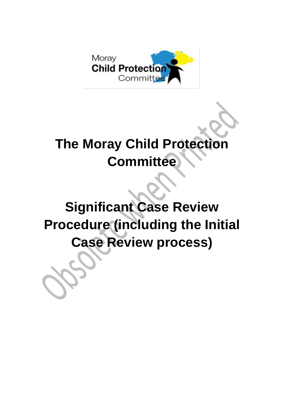

# **The Moray Child Protection Committee**

# **Significant Case Review Procedure (including the Initial Case Review process)**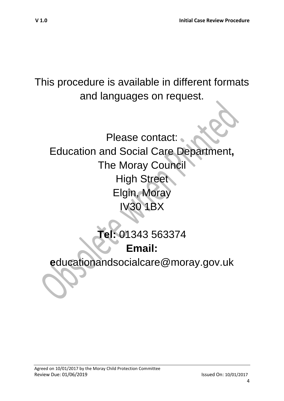This procedure is available in different formats and languages on request.

Please contact: Education and Social Care Department**,** The Moray Council **High Street** Elgin, Moray IV30 1BX

# **Tel:** 01343 563374 **Email:**

**e**ducationandsocialcare@moray.gov.uk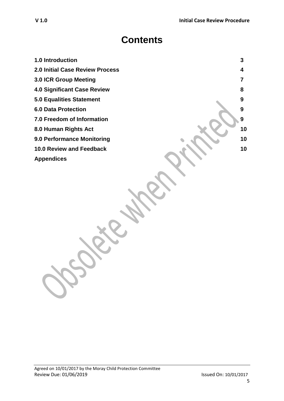# **Contents**

- **1.0 Introduction 3**
- **2.0 Initial Case Review Process 4**
- **3.0 ICR Group Meeting 7**
- **4.0 Significant Case Review 8**
- **5.0 Equalities Statement** 9
- **6.0 Data Protection 9**
- **7.0 Freedom of Information 9**
- **8.0 Human Rights Act 10**
- **9.0 Performance Monitoring 10**
- **10.0 Review and Feedback 10**
- **Appendices**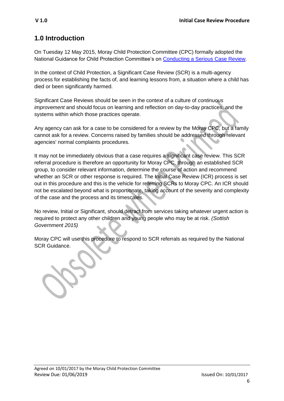#### **1.0 Introduction**

On Tuesday 12 May 2015, Moray Child Protection Committee (CPC) formally adopted the National Guidance for Child Protection Committee's on [Conducting a Serious Case Review.](http://www.gov.scot/Resource/0047/00474570.pdf)

In the context of Child Protection, a Significant Case Review (SCR) is a multi-agency process for establishing the facts of, and learning lessons from, a situation where a child has died or been significantly harmed.

Significant Case Reviews should be seen in the context of a culture of *continuous improvement* and should focus on learning and reflection on day-to-day practices, and the systems within which those practices operate.

Any agency can ask for a case to be considered for a review by the Moray CPC, but a family cannot ask for a review. Concerns raised by families should be addressed through relevant agencies' normal complaints procedures.

It may not be immediately obvious that a case requires a significant case review. This SCR referral procedure is therefore an opportunity for Moray CPC, through an established SCR group, to consider relevant information, determine the course of action and recommend whether an SCR or other response is required. The Initial Case Review (ICR) process is set out in this procedure and this is the vehicle for referring SCRs to Moray CPC. An ICR should not be escalated beyond what is proportionate, taking account of the severity and complexity of the case and the process and its timescales.

No review, Initial or Significant, should detract from services taking whatever urgent action is required to protect any other children and young people who may be at risk. *(Sottish Government 2015)*

Moray CPC will use this procedure to respond to SCR referrals as required by the National SCR Guidance.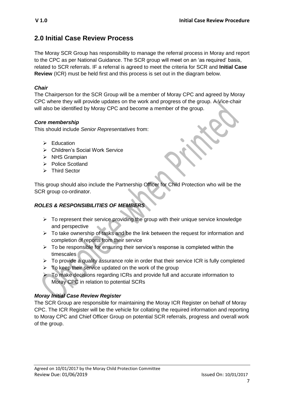#### **2.0 Initial Case Review Process**

The Moray SCR Group has responsibility to manage the referral process in Moray and report to the CPC as per National Guidance. The SCR group will meet on an 'as required' basis, related to SCR referrals. IF a referral is agreed to meet the criteria for SCR and **Initial Case Review** (ICR) must be held first and this process is set out in the diagram below.

#### *Chair*

The Chairperson for the SCR Group will be a member of Moray CPC and agreed by Moray CPC where they will provide updates on the work and progress of the group. A Vice-chair will also be identified by Moray CPC and become a member of the group.

#### *Core membership*

This should include *Senior Representatives* from:

- $\triangleright$  Education
- Children's Social Work Service
- $\triangleright$  NHS Grampian
- > Police Scotland
- > Third Sector

This group should also include the Partnership Officer for Child Protection who will be the SCR group co-ordinator.

#### *ROLES & RESPONSIBILITIES OF MEMBERS*

- $\triangleright$  To represent their service providing the group with their unique service knowledge and perspective
- $\triangleright$  To take ownership of tasks and be the link between the request for information and completion of reports from their service
- $\triangleright$  To be responsible for ensuring their service's response is completed within the timescales
- $\triangleright$  To provide a quality assurance role in order that their service ICR is fully completed
- $\triangleright$  To keep their service updated on the work of the group
- $\triangleright$  To make decisions regarding ICRs and provide full and accurate information to Moray CPC in relation to potential SCRs

#### *Moray Initial Case Review Register*

The SCR Group are responsible for maintaining the Moray ICR Register on behalf of Moray CPC. The ICR Register will be the vehicle for collating the required information and reporting to Moray CPC and Chief Officer Group on potential SCR referrals, progress and overall work of the group.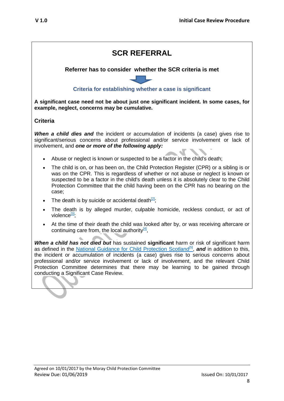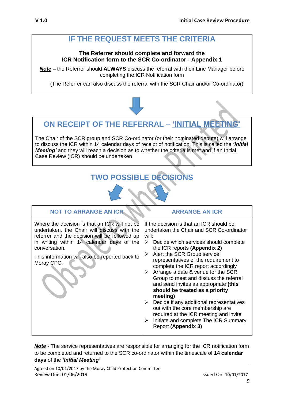## **IF THE REQUEST MEETS THE CRITERIA**

#### **The Referrer should complete and forward the ICR Notification form to the SCR Co-ordinator - Appendix 1**

*Note* **–** the Referrer should **ALWAYS** discuss the referral with their Line Manager before completing the ICR Notification form

(The Referrer can also discuss the referral with the SCR Chair and/or Co-ordinator)

### **ON RECEIPT OF THE REFERRAL** – **'INITIAL MEETING'**

The Chair of the SCR group and SCR Co-ordinator (or their nominated depute) will arrange to discuss the ICR within 14 calendar days of receipt of notification. This is called the *'Initial Meeting'* and they will reach a decision as to whether the criteria is met and if an Initial Case Review (ICR) should be undertaken

# **TWO POSSIBLE DECISIONS**

| <b>NOT TO ARRANGE AN ICR</b>                                                                                                                                                                                                                                                | <b>ARRANGE AN ICR</b>                                                                                                                                                                                                                                                                                                                                                                                                                                                                                                                                                                                                                                                                           |
|-----------------------------------------------------------------------------------------------------------------------------------------------------------------------------------------------------------------------------------------------------------------------------|-------------------------------------------------------------------------------------------------------------------------------------------------------------------------------------------------------------------------------------------------------------------------------------------------------------------------------------------------------------------------------------------------------------------------------------------------------------------------------------------------------------------------------------------------------------------------------------------------------------------------------------------------------------------------------------------------|
| Where the decision is that an ICR will not be<br>undertaken, the Chair will discuss with the<br>referrer and the decision will be followed up<br>in writing within 14 calendar days of the<br>conversation.<br>This information will also be reported back to<br>Moray CPC. | If the decision is that an ICR should be<br>undertaken the Chair and SCR Co-ordinator<br>will:<br>$\triangleright$ Decide which services should complete<br>the ICR reports (Appendix 2)<br>Alert the SCR Group service<br>➤<br>representatives of the requirement to<br>complete the ICR report accordingly<br>Arrange a date & venue for the SCR<br>≻<br>Group to meet and discuss the referral<br>and send invites as appropriate (this<br>should be treated as a priority<br>meeting)<br>Decide if any additional representatives<br>➤<br>out with the core membership are<br>required at the ICR meeting and invite<br>Initiate and complete The ICR Summary<br><b>Report (Appendix 3)</b> |

*Note* - The service representatives are responsible for arranging for the ICR notification form to be completed and returned to the SCR co-ordinator within the timescale of **14 calendar days** of the *'Initial Meeting'*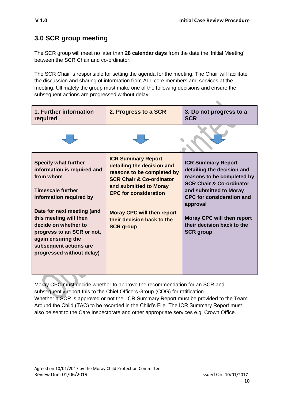$\bullet$ 

#### **3.0 SCR group meeting**

The SCR group will meet no later than **28 calendar days** from the date the 'Initial Meeting' between the SCR Chair and co-ordinator.

The SCR Chair is responsible for setting the agenda for the meeting. The Chair will facilitate the discussion and sharing of information from ALL core members and services at the meeting. Ultimately the group must make one of the following decisions and ensure the subsequent actions are progressed without delay:

| 1. Further information<br>required                                                                                                                                                                                                                                                                                        | 2. Progress to a SCR                                                                                                                                                                                                                                                          | 3. Do not progress to a<br><b>SCR</b>                                                                                                                                                                                                                                                         |
|---------------------------------------------------------------------------------------------------------------------------------------------------------------------------------------------------------------------------------------------------------------------------------------------------------------------------|-------------------------------------------------------------------------------------------------------------------------------------------------------------------------------------------------------------------------------------------------------------------------------|-----------------------------------------------------------------------------------------------------------------------------------------------------------------------------------------------------------------------------------------------------------------------------------------------|
|                                                                                                                                                                                                                                                                                                                           |                                                                                                                                                                                                                                                                               |                                                                                                                                                                                                                                                                                               |
| <b>Specify what further</b><br>information is required and<br>from whom<br><b>Timescale further</b><br>information required by<br>Date for next meeting (and<br>this meeting will then<br>decide on whether to<br>progress to an SCR or not,<br>again ensuring the<br>subsequent actions are<br>progressed without delay) | <b>ICR Summary Report</b><br>detailing the decision and<br>reasons to be completed by<br><b>SCR Chair &amp; Co-ordinator</b><br>and submitted to Moray<br><b>CPC for consideration</b><br><b>Moray CPC will then report</b><br>their decision back to the<br><b>SCR</b> group | <b>ICR Summary Report</b><br>detailing the decision and<br>reasons to be completed by<br><b>SCR Chair &amp; Co-ordinator</b><br>and submitted to Moray<br><b>CPC</b> for consideration and<br>approval<br><b>Moray CPC will then report</b><br>their decision back to the<br><b>SCR</b> group |

Moray CPC must decide whether to approve the recommendation for an SCR and subsequently report this to the Chief Officers Group (COG) for ratification. Whether a SCR is approved or not the, ICR Summary Report must be provided to the Team Around the Child (TAC) to be recorded in the Child's File. The ICR Summary Report must also be sent to the Care Inspectorate and other appropriate services e.g. Crown Office.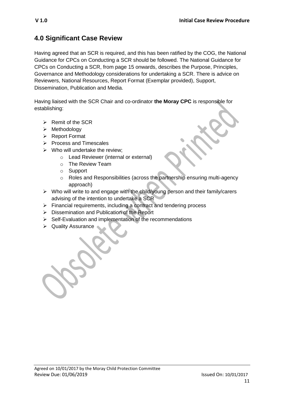#### **4.0 Significant Case Review**

Having agreed that an SCR is required, and this has been ratified by the COG, the National Guidance for CPCs on Conducting a SCR should be followed. The National Guidance for CPCs on Conducting a SCR, from page 15 onwards, describes the Purpose, Principles, Governance and Methodology considerations for undertaking a SCR. There is advice on Reviewers, National Resources, Report Format (Exemplar provided), Support, Dissemination, Publication and Media.

Having liaised with the SCR Chair and co-ordinator **the Moray CPC** is responsible for establishing:

- $\triangleright$  Remit of the SCR
- $\triangleright$  Methodology
- ▶ Report Format
- $\triangleright$  Process and Timescales
- $\triangleright$  Who will undertake the review;
	- o Lead Reviewer (internal or external)
	- o The Review Team
	- o Support
	- o Roles and Responsibilities (across the partnership ensuring multi-agency approach)
- $\triangleright$  Who will write to and engage with the child/young person and their family/carers advising of the intention to undertake a SCR
- $\triangleright$  Financial requirements, including a contract and tendering process
- $\triangleright$  Dissemination and Publication of the Report
- $\triangleright$  Self-Evaluation and implementation of the recommendations
- ▶ Quality Assurance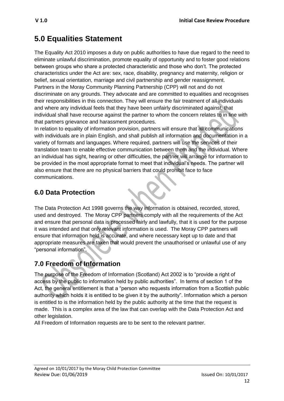## **5.0 Equalities Statement**

The Equality Act 2010 imposes a duty on public authorities to have due regard to the need to eliminate unlawful discrimination, promote equality of opportunity and to foster good relations between groups who share a protected characteristic and those who don't. The protected characteristics under the Act are: sex, race, disability, pregnancy and maternity, religion or belief, sexual orientation, marriage and civil partnership and gender reassignment. Partners in the Moray Community Planning Partnership (CPP) will not and do not discriminate on any grounds. They advocate and are committed to equalities and recognises their responsibilities in this connection. They will ensure the fair treatment of all individuals and where any individual feels that they have been unfairly discriminated against, that individual shall have recourse against the partner to whom the concern relates to in line with that partners grievance and harassment procedures.

In relation to equality of information provision, partners will ensure that all communications with individuals are in plain English, and shall publish all information and documentation in a variety of formats and languages. Where required, partners will use the services of their translation team to enable effective communication between them and the individual. Where an individual has sight, hearing or other difficulties, the partner will arrange for information to be provided in the most appropriate format to meet that individual's needs. The partner will also ensure that there are no physical barriers that could prohibit face to face communications.

### **6.0 Data Protection**

The Data Protection Act 1998 governs the way information is obtained, recorded, stored, used and destroyed. The Moray CPP partners comply with all the requirements of the Act and ensure that personal data is processed fairly and lawfully, that it is used for the purpose it was intended and that only relevant information is used. The Moray CPP partners will ensure that information held is accurate, and where necessary kept up to date and that appropriate measures are taken that would prevent the unauthorised or unlawful use of any "personal information".

### **7.0 Freedom of Information**

The purpose of the Freedom of Information (Scotland) Act 2002 is to "provide a right of access by the public to information held by public authorities". In terms of section 1 of the Act, the general entitlement is that a "person who requests information from a Scottish public authority which holds it is entitled to be given it by the authority". Information which a person is entitled to is the information held by the public authority at the time that the request is made. This is a complex area of the law that can overlap with the Data Protection Act and other legislation.

All Freedom of Information requests are to be sent to the relevant partner.